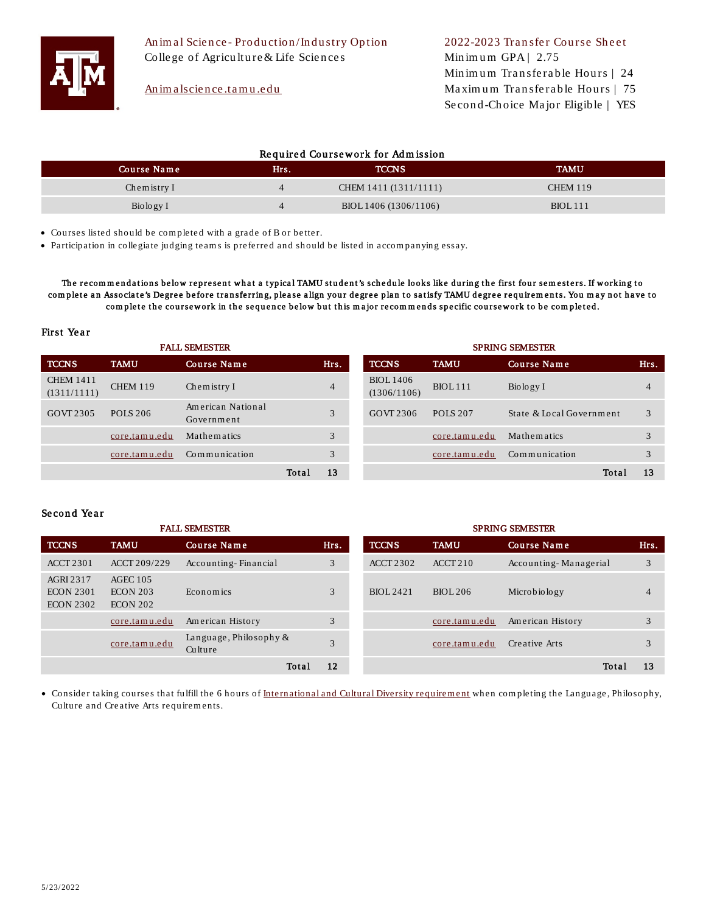

# An im a lscience .tamu .e du

Min im u m GPA  $|2.75$ Minimum Transferable Hours | 24 Maximum Transferable Hours | 75 Se con d -Ch oice Ma jor Eligib le | YES

## Required Coursework for Admission

| Course Name | <b>Hits.</b> | <b>TCCNS</b>          | <b>TAMU</b>     |
|-------------|--------------|-----------------------|-----------------|
| Chemistry I |              | CHEM 1411 (1311/1111) | <b>CHEM 119</b> |
| Biology I   |              | BIOL 1406 (1306/1106) | <b>BIOL</b> 111 |

• Courses listed should be com pleted with a grade of B or better.

• Participation in collegiate judging team s is preferred and should be listed in accom panying essay.

The recommendations below represent what a typical TAMU student's schedule looks like during the first four semesters. If working to complete an Associate's Degree before transferring, please align your degree plan to satisfy TAMU degree requirements. You may not have to complete the coursework in the sequence below but this major recommends specific coursework to be completed.

### First Year

| <b>FALL SEMESTER</b>            |                 |                                 |       | <b>SPRING SEMESTER</b> |                                 |                 |                          |  |      |
|---------------------------------|-----------------|---------------------------------|-------|------------------------|---------------------------------|-----------------|--------------------------|--|------|
| <b>TCCNS</b>                    | <b>TAMU</b>     | Course Name                     |       | Hrs.                   | <b>TCCNS</b>                    | <b>TAMU</b>     | Course Name              |  | Hrs. |
| <b>CHEM 1411</b><br>(1311/1111) | <b>CHEM 119</b> | Chemistry I                     |       | $\overline{4}$         | <b>BIOL</b> 1406<br>(1306/1106) | <b>BIOL</b> 111 | Biology I                |  | 4    |
| GOVT 2305                       | <b>POLS 206</b> | American National<br>Government |       | 3                      | GOVT 2306                       | <b>POLS 207</b> | State & Local Government |  |      |
|                                 | core.tamu.edu   | Mathematics                     |       | 3                      |                                 | core.tamu.edu   | Mathematics              |  |      |
|                                 | core.tamu.edu   | Communication                   |       | 3                      |                                 | core.tamu.edu   | Communication            |  |      |
|                                 |                 |                                 | Total | 13                     |                                 |                 | Total                    |  | 13   |

### Second Year

| <b>FALL SEMESTER</b>                              |                                                  |                                      |       | <b>SPRING SEMESTER</b> |                  |               |                       |       |                |
|---------------------------------------------------|--------------------------------------------------|--------------------------------------|-------|------------------------|------------------|---------------|-----------------------|-------|----------------|
| <b>TCCNS</b>                                      | <b>TAMU</b>                                      | Course Name                          |       | Hrs.                   | <b>TCCNS</b>     | <b>TAMU</b>   | Course Name           |       | Hrs.           |
| <b>ACCT 2301</b>                                  | ACCT 209/229                                     | Accounting-Financial                 |       | 3                      | <b>ACCT 2302</b> | ACCT 210      | Accounting-Managerial |       | 3              |
| AGRI 2317<br><b>ECON 2301</b><br><b>ECON 2302</b> | $AGEC$ 105<br><b>ECON 203</b><br><b>ECON 202</b> | Economics                            |       | 3                      | BIOL 2421        | BIOL 206      | Microbiology          |       | $\overline{4}$ |
|                                                   | core.tamu.edu                                    | American History                     |       | 3                      |                  | core.tamu.edu | American History      |       | 3              |
|                                                   | core.tamu.edu                                    | Language, Philosophy $\&$<br>Culture |       | $\mathcal{R}$          |                  | core.tamu.edu | Creative Arts         |       | 3              |
|                                                   |                                                  |                                      | Total | 12                     |                  |               |                       | Total | 13             |

• Consider taking courses that fulfill the 6 hours of International and Cultural Diversity requirement when completing the Language, Philosophy, Culture and Creative Arts requirements.